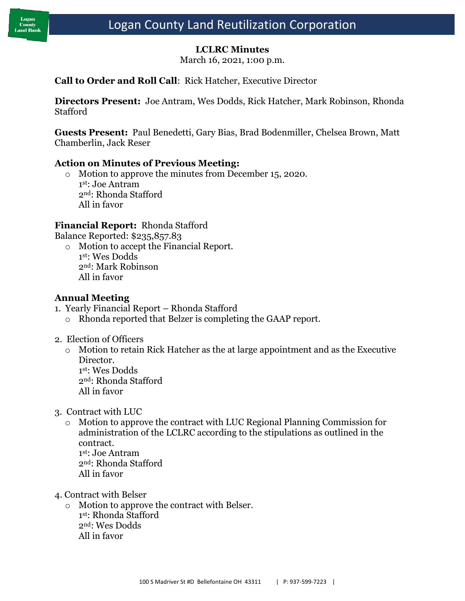## **LCLRC Minutes**

March 16, 2021, 1:00 p.m.

### **Call to Order and Roll Call**: Rick Hatcher, Executive Director

**Directors Present:** Joe Antram, Wes Dodds, Rick Hatcher, Mark Robinson, Rhonda Stafford

**Guests Present:** Paul Benedetti, Gary Bias, Brad Bodenmiller, Chelsea Brown, Matt Chamberlin, Jack Reser

#### **Action on Minutes of Previous Meeting:**

o Motion to approve the minutes from December 15, 2020. 1 st: Joe Antram 2nd: Rhonda Stafford All in favor

#### **Financial Report:** Rhonda Stafford

Balance Reported: \$235,857.83

o Motion to accept the Financial Report. 1 st: Wes Dodds 2nd: Mark Robinson All in favor

## **Annual Meeting**

- 1. Yearly Financial Report Rhonda Stafford
	- o Rhonda reported that Belzer is completing the GAAP report.
- 2. Election of Officers
	- o Motion to retain Rick Hatcher as the at large appointment and as the Executive Director. 1 st: Wes Dodds 2nd: Rhonda Stafford All in favor
- 3. Contract with LUC
	- Motion to approve the contract with LUC Regional Planning Commission for administration of the LCLRC according to the stipulations as outlined in the contract. 1 st: Joe Antram 2nd: Rhonda Stafford All in favor
		-
- 4. Contract with Belser
	- o Motion to approve the contract with Belser. 1 st: Rhonda Stafford 2nd: Wes Dodds All in favor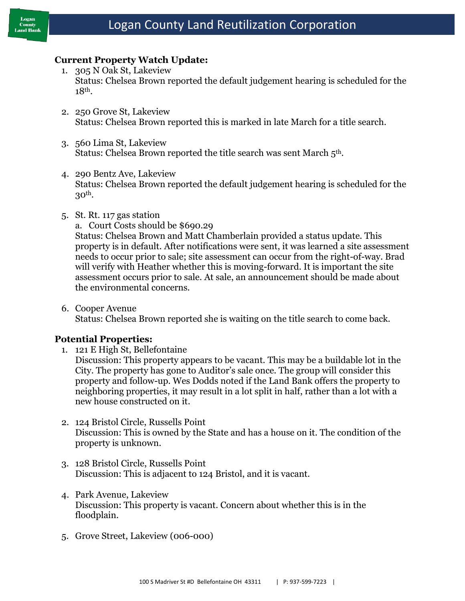

#### **Current Property Watch Update:**

- 1. 305 N Oak St, Lakeview Status: Chelsea Brown reported the default judgement hearing is scheduled for the 18th.
- 2. 250 Grove St, Lakeview Status: Chelsea Brown reported this is marked in late March for a title search.
- 3. 560 Lima St, Lakeview Status: Chelsea Brown reported the title search was sent March 5<sup>th</sup>.
- 4. 290 Bentz Ave, Lakeview Status: Chelsea Brown reported the default judgement hearing is scheduled for the 30th.
- 5. St. Rt. 117 gas station
	- a. Court Costs should be \$690.29

Status: Chelsea Brown and Matt Chamberlain provided a status update. This property is in default. After notifications were sent, it was learned a site assessment needs to occur prior to sale; site assessment can occur from the right-of-way. Brad will verify with Heather whether this is moving-forward. It is important the site assessment occurs prior to sale. At sale, an announcement should be made about the environmental concerns.

6. Cooper Avenue Status: Chelsea Brown reported she is waiting on the title search to come back.

#### **Potential Properties:**

1. 121 E High St, Bellefontaine

Discussion: This property appears to be vacant. This may be a buildable lot in the City. The property has gone to Auditor's sale once. The group will consider this property and follow-up. Wes Dodds noted if the Land Bank offers the property to neighboring properties, it may result in a lot split in half, rather than a lot with a new house constructed on it.

- 2. 124 Bristol Circle, Russells Point Discussion: This is owned by the State and has a house on it. The condition of the property is unknown.
- 3. 128 Bristol Circle, Russells Point Discussion: This is adjacent to 124 Bristol, and it is vacant.
- 4. Park Avenue, Lakeview Discussion: This property is vacant. Concern about whether this is in the floodplain.
- 5. Grove Street, Lakeview (006-000)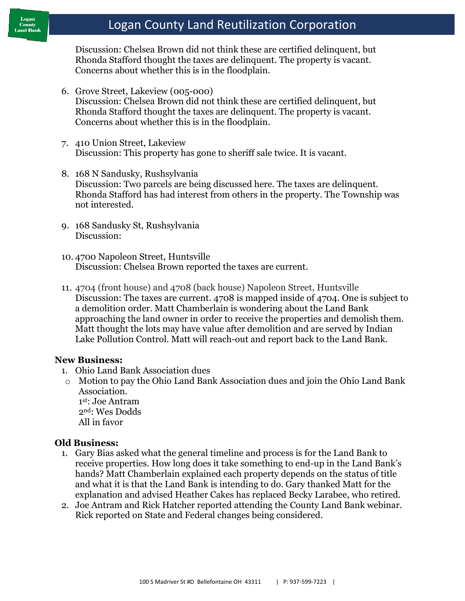# Logan County Land Reutilization Corporation

Discussion: Chelsea Brown did not think these are certified delinquent, but Rhonda Stafford thought the taxes are delinquent. The property is vacant. Concerns about whether this is in the floodplain.

- 6. Grove Street, Lakeview (005-000) Discussion: Chelsea Brown did not think these are certified delinquent, but Rhonda Stafford thought the taxes are delinquent. The property is vacant. Concerns about whether this is in the floodplain.
- 7. 410 Union Street, Lakeview Discussion: This property has gone to sheriff sale twice. It is vacant.
- 8. 168 N Sandusky, Rushsylvania Discussion: Two parcels are being discussed here. The taxes are delinquent. Rhonda Stafford has had interest from others in the property. The Township was not interested.
- 9. 168 Sandusky St, Rushsylvania Discussion:
- 10. 4700 Napoleon Street, Huntsville Discussion: Chelsea Brown reported the taxes are current.
- 11. 4704 (front house) and 4708 (back house) Napoleon Street, Huntsville Discussion: The taxes are current. 4708 is mapped inside of 4704. One is subject to a demolition order. Matt Chamberlain is wondering about the Land Bank approaching the land owner in order to receive the properties and demolish them. Matt thought the lots may have value after demolition and are served by Indian Lake Pollution Control. Matt will reach-out and report back to the Land Bank.

#### **New Business:**

- 1. Ohio Land Bank Association dues
- o Motion to pay the Ohio Land Bank Association dues and join the Ohio Land Bank Association. 1 st: Joe Antram 2nd: Wes Dodds

All in favor

#### **Old Business:**

- 1. Gary Bias asked what the general timeline and process is for the Land Bank to receive properties. How long does it take something to end-up in the Land Bank's hands? Matt Chamberlain explained each property depends on the status of title and what it is that the Land Bank is intending to do. Gary thanked Matt for the explanation and advised Heather Cakes has replaced Becky Larabee, who retired.
- 2. Joe Antram and Rick Hatcher reported attending the County Land Bank webinar. Rick reported on State and Federal changes being considered.